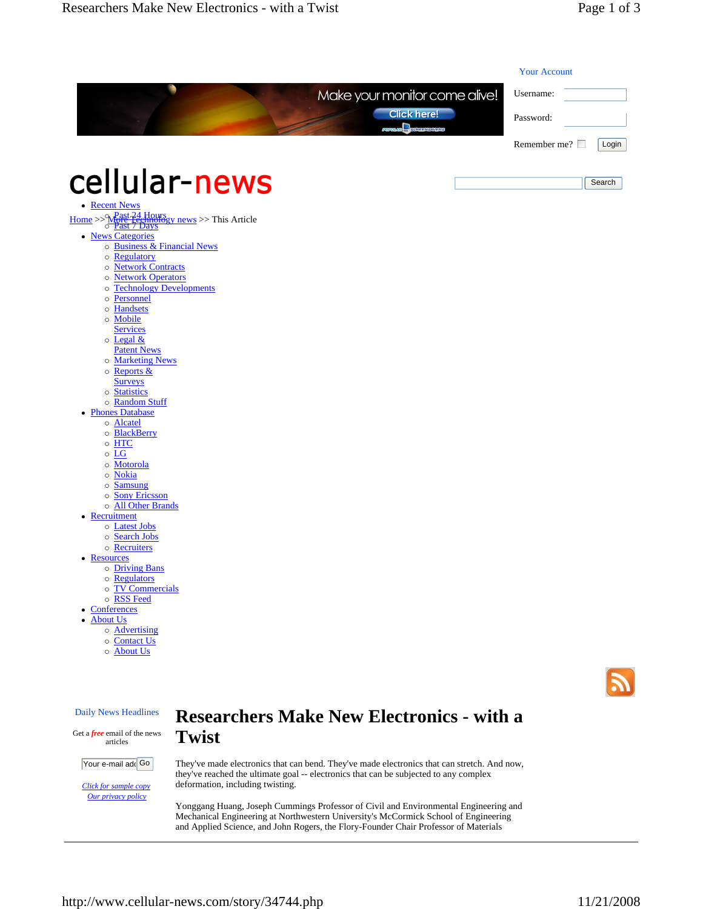|                                                                                                                                                                                                                                              | Make your monitor come alive!                    | Username:                    |
|----------------------------------------------------------------------------------------------------------------------------------------------------------------------------------------------------------------------------------------------|--------------------------------------------------|------------------------------|
|                                                                                                                                                                                                                                              | <b>Click here!</b><br>C.<br>HEENSAVERS           | Password:                    |
|                                                                                                                                                                                                                                              |                                                  | Remember me? $\Box$<br>Login |
|                                                                                                                                                                                                                                              |                                                  |                              |
| cellular-news                                                                                                                                                                                                                                |                                                  | Search                       |
| • Recent News                                                                                                                                                                                                                                |                                                  |                              |
| $\underbrace{\text{Home}}_{\text{O}} > \underbrace{\text{N} \text{Past} + \text{24}}_{\text{O}} \underbrace{\text{Hours}}_{\text{Past}} \underbrace{\text{Pours}}_{\text{Days}} \text{v} \text{ news}}_{\text{Past}} > \text{This Article}}$ |                                                  |                              |
| • News Categories                                                                                                                                                                                                                            |                                                  |                              |
| o Business & Financial News<br>Regulatory<br>$\circ$                                                                                                                                                                                         |                                                  |                              |
| <b>Network Contracts</b><br>$\circ$                                                                                                                                                                                                          |                                                  |                              |
| <b>Network Operators</b><br>$\circ$                                                                                                                                                                                                          |                                                  |                              |
| <b>Technology Developments</b><br>$\circ$<br>Personnel<br>$\circ$                                                                                                                                                                            |                                                  |                              |
| o Handsets                                                                                                                                                                                                                                   |                                                  |                              |
| o Mobile                                                                                                                                                                                                                                     |                                                  |                              |
| <b>Services</b>                                                                                                                                                                                                                              |                                                  |                              |
| $\circ$ Legal &<br><b>Patent News</b>                                                                                                                                                                                                        |                                                  |                              |
| o Marketing News                                                                                                                                                                                                                             |                                                  |                              |
| o Reports &                                                                                                                                                                                                                                  |                                                  |                              |
| <b>Surveys</b><br>o Statistics                                                                                                                                                                                                               |                                                  |                              |
| o Random Stuff                                                                                                                                                                                                                               |                                                  |                              |
| • Phones Database                                                                                                                                                                                                                            |                                                  |                              |
| o Alcatel                                                                                                                                                                                                                                    |                                                  |                              |
| $\circ$ BlackBerry<br>$\circ$ HTC                                                                                                                                                                                                            |                                                  |                              |
| $\circ$ LG                                                                                                                                                                                                                                   |                                                  |                              |
| o Motorola                                                                                                                                                                                                                                   |                                                  |                              |
| o Nokia<br>$\circ$ Samsung                                                                                                                                                                                                                   |                                                  |                              |
| o Sony Ericsson                                                                                                                                                                                                                              |                                                  |                              |
| o All Other Brands                                                                                                                                                                                                                           |                                                  |                              |
| • Recruitment<br>o Latest Jobs                                                                                                                                                                                                               |                                                  |                              |
| o Search Jobs                                                                                                                                                                                                                                |                                                  |                              |
| o Recruiters                                                                                                                                                                                                                                 |                                                  |                              |
| • Resources                                                                                                                                                                                                                                  |                                                  |                              |
| o Driving Bans<br>o Regulators                                                                                                                                                                                                               |                                                  |                              |
| o TV Commercials                                                                                                                                                                                                                             |                                                  |                              |
| o RSS Feed                                                                                                                                                                                                                                   |                                                  |                              |
| • Conferences                                                                                                                                                                                                                                |                                                  |                              |
| • About Us<br>o Advertising                                                                                                                                                                                                                  |                                                  |                              |
| o Contact Us                                                                                                                                                                                                                                 |                                                  |                              |
| o About Us                                                                                                                                                                                                                                   |                                                  |                              |
|                                                                                                                                                                                                                                              |                                                  |                              |
|                                                                                                                                                                                                                                              |                                                  |                              |
|                                                                                                                                                                                                                                              |                                                  |                              |
|                                                                                                                                                                                                                                              | <b>Researchers Make New Electronics - with a</b> |                              |

Your e-mail add<sup>Go</sup>

articles

*Click for sample copy Our privacy policy*

**Twist**  They've made electronics that can bend. They've made electronics that can stretch. And now,

deformation, including twisting. Yonggang Huang, Joseph Cummings Professor of Civil and Environmental Engineering and Mechanical Engineering at Northwestern University's McCormick School of Engineering

and Applied Science, and John Rogers, the Flory-Founder Chair Professor of Materials

they've reached the ultimate goal -- electronics that can be subjected to any complex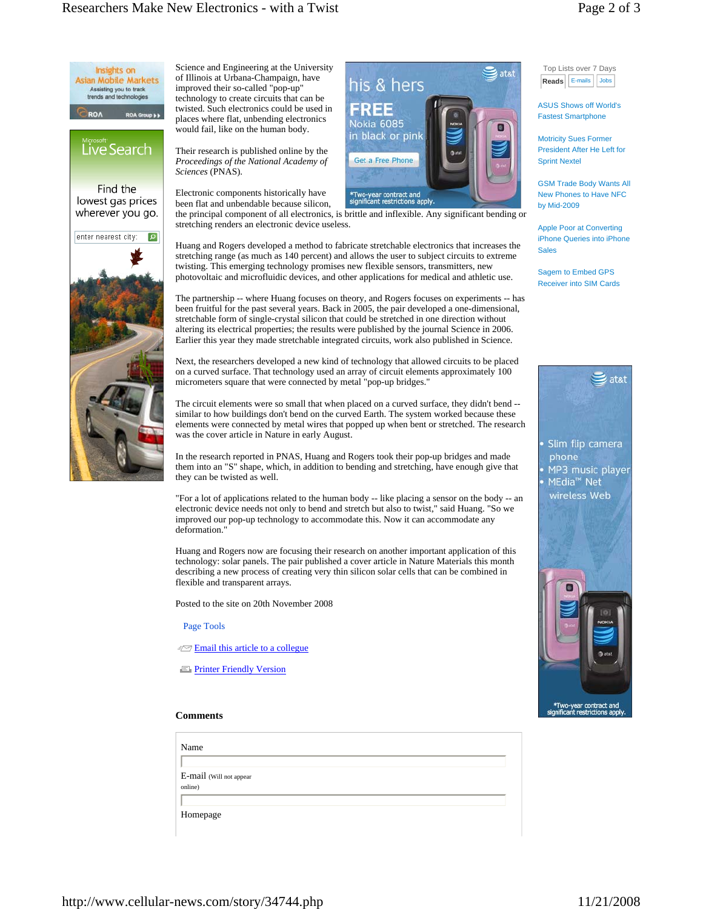Top Lists over 7 Days

**Reads E-mails** Jobs

ASUS Shows off World's Fastest Smartphone Motricity Sues Former President After He Left for

Sprint Nextel

**Sales** 



Science and Engineering at the University of Illinois at Urbana-Champaign, have improved their so-called "pop-up" technology to create circuits that can be twisted. Such electronics could be used in places where flat, unbending electronics would fail, like on the human body.

Their research is published online by the *Proceedings of the National Academy of Sciences* (PNAS).

Electronic components historically have \*Two-year contract and<br>significant restrictions apply been flat and unbendable because silicon, the principal component of all electronics, is brittle and inflexible. Any significant bending or stretching renders an electronic device useless.

Huang and Rogers developed a method to fabricate stretchable electronics that increases the stretching range (as much as 140 percent) and allows the user to subject circuits to extreme twisting. This emerging technology promises new flexible sensors, transmitters, new photovoltaic and microfluidic devices, and other applications for medical and athletic use.

The partnership -- where Huang focuses on theory, and Rogers focuses on experiments -- has been fruitful for the past several years. Back in 2005, the pair developed a one-dimensional, stretchable form of single-crystal silicon that could be stretched in one direction without altering its electrical properties; the results were published by the journal Science in 2006. Earlier this year they made stretchable integrated circuits, work also published in Science.

Next, the researchers developed a new kind of technology that allowed circuits to be placed on a curved surface. That technology used an array of circuit elements approximately 100 micrometers square that were connected by metal "pop-up bridges."

The circuit elements were so small that when placed on a curved surface, they didn't bend - similar to how buildings don't bend on the curved Earth. The system worked because these elements were connected by metal wires that popped up when bent or stretched. The research was the cover article in Nature in early August.

In the research reported in PNAS, Huang and Rogers took their pop-up bridges and made them into an "S" shape, which, in addition to bending and stretching, have enough give that they can be twisted as well.

"For a lot of applications related to the human body -- like placing a sensor on the body -- an electronic device needs not only to bend and stretch but also to twist," said Huang. "So we improved our pop-up technology to accommodate this. Now it can accommodate any deformation.

Huang and Rogers now are focusing their research on another important application of this technology: solar panels. The pair published a cover article in Nature Materials this month describing a new process of creating very thin silicon solar cells that can be combined in flexible and transparent arrays.

Posted to the site on 20th November 2008

Page Tools

**Email this article to a collegue** 

**Printer Friendly Version** 



GSM Trade Body Wants All New Phones to Have NFC by Mid-2009 Apple Poor at Converting iPhone Queries into iPhone

Sagem to Embed GPS Receiver into SIM Cards



## **Comments**

| Name                    |  |
|-------------------------|--|
|                         |  |
| E-mail (Will not appear |  |
| online)                 |  |
|                         |  |
| Homepage                |  |